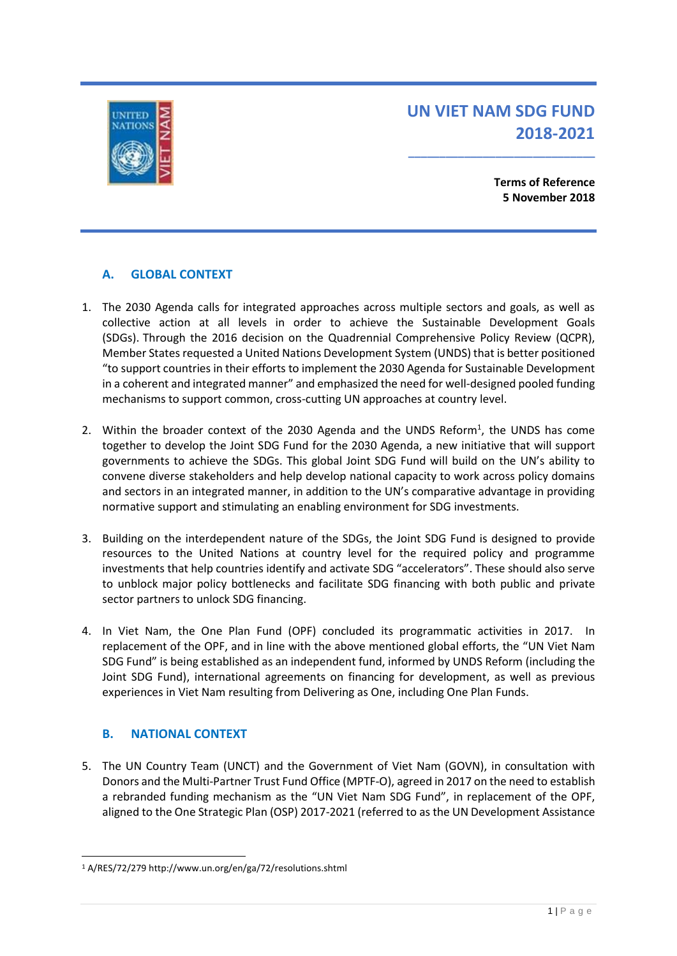NITEE

# **UN VIET NAM SDG FUND 2018-2021**

**\_\_\_\_\_\_\_\_\_\_\_\_\_\_\_\_\_\_\_\_\_\_\_\_\_\_\_\_\_\_**

**Terms of Reference 5 November 2018**

# **A. GLOBAL CONTEXT**

- 1. The 2030 Agenda calls for integrated approaches across multiple sectors and goals, as well as collective action at all levels in order to achieve the Sustainable Development Goals (SDGs). Through the 2016 decision on the Quadrennial Comprehensive Policy Review (QCPR), Member States requested a United Nations Development System (UNDS) that is better positioned "to support countries in their efforts to implement the 2030 Agenda for Sustainable Development in a coherent and integrated manner" and emphasized the need for well-designed pooled funding mechanisms to support common, cross-cutting UN approaches at country level.
- 2. Within the broader context of the 2030 Agenda and the UNDS Reform<sup>1</sup>, the UNDS has come together to develop the Joint SDG Fund for the 2030 Agenda, a new initiative that will support governments to achieve the SDGs. This global Joint SDG Fund will build on the UN's ability to convene diverse stakeholders and help develop national capacity to work across policy domains and sectors in an integrated manner, in addition to the UN's comparative advantage in providing normative support and stimulating an enabling environment for SDG investments.
- 3. Building on the interdependent nature of the SDGs, the Joint SDG Fund is designed to provide resources to the United Nations at country level for the required policy and programme investments that help countries identify and activate SDG "accelerators". These should also serve to unblock major policy bottlenecks and facilitate SDG financing with both public and private sector partners to unlock SDG financing.
- 4. In Viet Nam, the One Plan Fund (OPF) concluded its programmatic activities in 2017. In replacement of the OPF, and in line with the above mentioned global efforts, the "UN Viet Nam SDG Fund" is being established as an independent fund, informed by UNDS Reform (including the Joint SDG Fund), international agreements on financing for development, as well as previous experiences in Viet Nam resulting from Delivering as One, including One Plan Funds.

# **B. NATIONAL CONTEXT**

-

5. The UN Country Team (UNCT) and the Government of Viet Nam (GOVN), in consultation with Donors and the Multi-Partner Trust Fund Office (MPTF-O), agreed in 2017 on the need to establish a rebranded funding mechanism as the "UN Viet Nam SDG Fund", in replacement of the OPF, aligned to the One Strategic Plan (OSP) 2017-2021 (referred to as the UN Development Assistance

<sup>1</sup> A/RES/72/279 http://www.un.org/en/ga/72/resolutions.shtml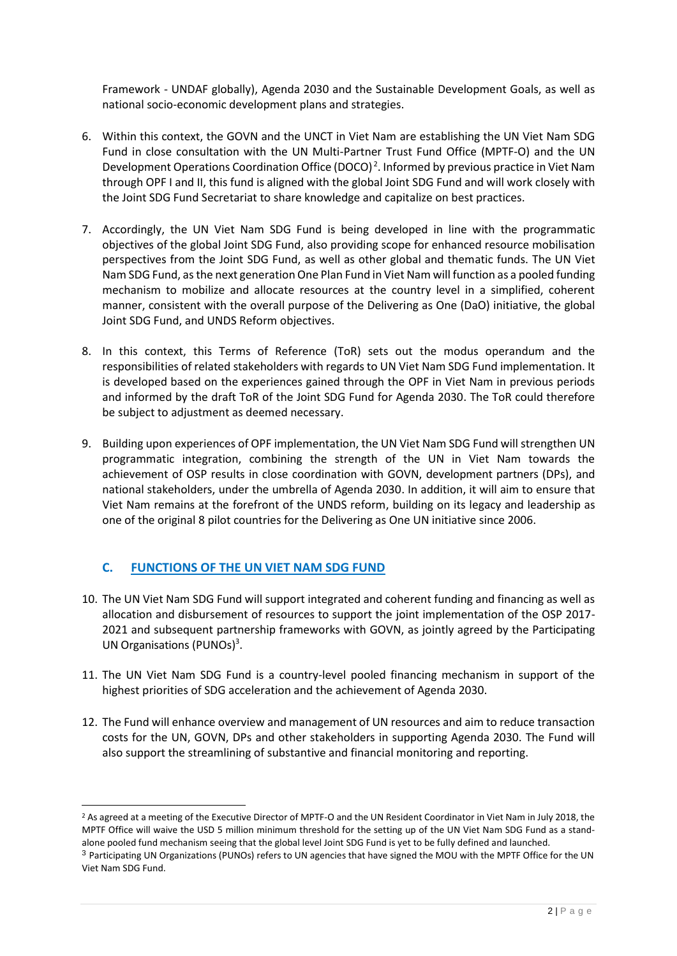Framework - UNDAF globally), Agenda 2030 and the Sustainable Development Goals, as well as national socio-economic development plans and strategies.

- 6. Within this context, the GOVN and the UNCT in Viet Nam are establishing the UN Viet Nam SDG Fund in close consultation with the UN Multi-Partner Trust Fund Office (MPTF-O) and the UN Development Operations Coordination Office (DOCO)<sup>2</sup>. Informed by previous practice in Viet Nam through OPF I and II, this fund is aligned with the global Joint SDG Fund and will work closely with the Joint SDG Fund Secretariat to share knowledge and capitalize on best practices.
- 7. Accordingly, the UN Viet Nam SDG Fund is being developed in line with the programmatic objectives of the global Joint SDG Fund, also providing scope for enhanced resource mobilisation perspectives from the Joint SDG Fund, as well as other global and thematic funds. The UN Viet Nam SDG Fund, as the next generation One Plan Fund in Viet Nam will function as a pooled funding mechanism to mobilize and allocate resources at the country level in a simplified, coherent manner, consistent with the overall purpose of the Delivering as One (DaO) initiative, the global Joint SDG Fund, and UNDS Reform objectives.
- 8. In this context, this Terms of Reference (ToR) sets out the modus operandum and the responsibilities of related stakeholders with regards to UN Viet Nam SDG Fund implementation. It is developed based on the experiences gained through the OPF in Viet Nam in previous periods and informed by the draft ToR of the Joint SDG Fund for Agenda 2030. The ToR could therefore be subject to adjustment as deemed necessary.
- 9. Building upon experiences of OPF implementation, the UN Viet Nam SDG Fund will strengthen UN programmatic integration, combining the strength of the UN in Viet Nam towards the achievement of OSP results in close coordination with GOVN, development partners (DPs), and national stakeholders, under the umbrella of Agenda 2030. In addition, it will aim to ensure that Viet Nam remains at the forefront of the UNDS reform, building on its legacy and leadership as one of the original 8 pilot countries for the Delivering as One UN initiative since 2006.

# **C. FUNCTIONS OF THE UN VIET NAM SDG FUND**

- 10. The UN Viet Nam SDG Fund will support integrated and coherent funding and financing as well as allocation and disbursement of resources to support the joint implementation of the OSP 2017- 2021 and subsequent partnership frameworks with GOVN, as jointly agreed by the Participating UN Organisations (PUNOs)<sup>3</sup>.
- 11. The UN Viet Nam SDG Fund is a country-level pooled financing mechanism in support of the highest priorities of SDG acceleration and the achievement of Agenda 2030.
- 12. The Fund will enhance overview and management of UN resources and aim to reduce transaction costs for the UN, GOVN, DPs and other stakeholders in supporting Agenda 2030. The Fund will also support the streamlining of substantive and financial monitoring and reporting.

<sup>&</sup>lt;sup>2</sup> As agreed at a meeting of the Executive Director of MPTF-O and the UN Resident Coordinator in Viet Nam in July 2018, the MPTF Office will waive the USD 5 million minimum threshold for the setting up of the UN Viet Nam SDG Fund as a standalone pooled fund mechanism seeing that the global level Joint SDG Fund is yet to be fully defined and launched.

<sup>3</sup> Participating UN Organizations (PUNOs) refers to UN agencies that have signed the MOU with the MPTF Office for the UN Viet Nam SDG Fund.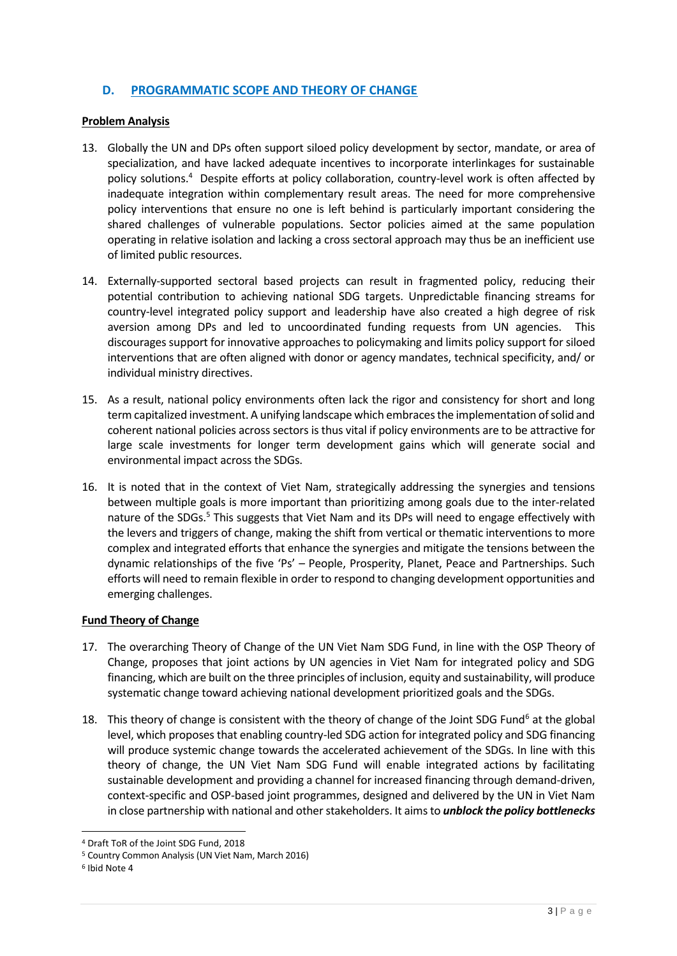## **D. PROGRAMMATIC SCOPE AND THEORY OF CHANGE**

#### **Problem Analysis**

- 13. Globally the UN and DPs often support siloed policy development by sector, mandate, or area of specialization, and have lacked adequate incentives to incorporate interlinkages for sustainable policy solutions.<sup>4</sup> Despite efforts at policy collaboration, country-level work is often affected by inadequate integration within complementary result areas. The need for more comprehensive policy interventions that ensure no one is left behind is particularly important considering the shared challenges of vulnerable populations. Sector policies aimed at the same population operating in relative isolation and lacking a cross sectoral approach may thus be an inefficient use of limited public resources.
- 14. Externally-supported sectoral based projects can result in fragmented policy, reducing their potential contribution to achieving national SDG targets. Unpredictable financing streams for country-level integrated policy support and leadership have also created a high degree of risk aversion among DPs and led to uncoordinated funding requests from UN agencies. This discourages support for innovative approaches to policymaking and limits policy support forsiloed interventions that are often aligned with donor or agency mandates, technical specificity, and/ or individual ministry directives.
- 15. As a result, national policy environments often lack the rigor and consistency for short and long term capitalized investment. A unifying landscape which embraces the implementation of solid and coherent national policies across sectors is thus vital if policy environments are to be attractive for large scale investments for longer term development gains which will generate social and environmental impact across the SDGs.
- 16. It is noted that in the context of Viet Nam, strategically addressing the synergies and tensions between multiple goals is more important than prioritizing among goals due to the inter-related nature of the SDGs.<sup>5</sup> This suggests that Viet Nam and its DPs will need to engage effectively with the levers and triggers of change, making the shift from vertical or thematic interventions to more complex and integrated efforts that enhance the synergies and mitigate the tensions between the dynamic relationships of the five 'Ps' – People, Prosperity, Planet, Peace and Partnerships. Such efforts will need to remain flexible in order to respond to changing development opportunities and emerging challenges.

#### **Fund Theory of Change**

- 17. The overarching Theory of Change of the UN Viet Nam SDG Fund, in line with the OSP Theory of Change, proposes that joint actions by UN agencies in Viet Nam for integrated policy and SDG financing, which are built on the three principles of inclusion, equity and sustainability, will produce systematic change toward achieving national development prioritized goals and the SDGs.
- 18. This theory of change is consistent with the theory of change of the Joint SDG Fund<sup>6</sup> at the global level, which proposes that enabling country-led SDG action for integrated policy and SDG financing will produce systemic change towards the accelerated achievement of the SDGs. In line with this theory of change, the UN Viet Nam SDG Fund will enable integrated actions by facilitating sustainable development and providing a channel for increased financing through demand-driven, context-specific and OSP-based joint programmes, designed and delivered by the UN in Viet Nam in close partnership with national and other stakeholders. It aims to *unblock the policy bottlenecks*

<sup>4</sup> Draft ToR of the Joint SDG Fund, 2018

<sup>5</sup> Country Common Analysis (UN Viet Nam, March 2016)

<sup>6</sup> Ibid Note 4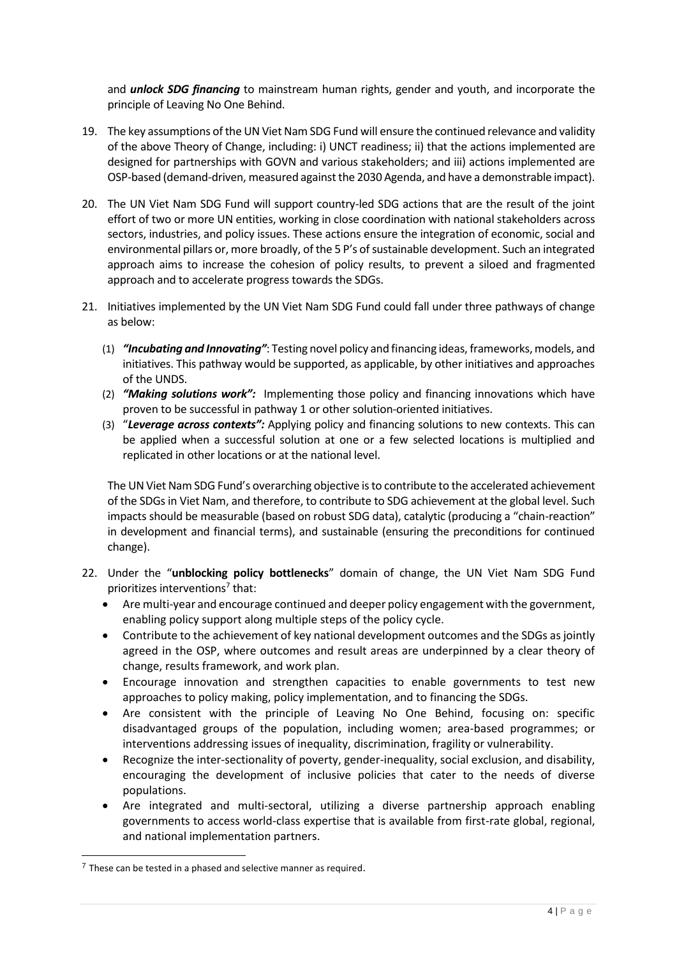and *unlock SDG financing* to mainstream human rights, gender and youth, and incorporate the principle of Leaving No One Behind.

- 19. The key assumptions of the UN Viet Nam SDG Fund will ensure the continued relevance and validity of the above Theory of Change, including: i) UNCT readiness; ii) that the actions implemented are designed for partnerships with GOVN and various stakeholders; and iii) actions implemented are OSP-based (demand-driven, measured against the 2030 Agenda, and have a demonstrable impact).
- 20. The UN Viet Nam SDG Fund will support country-led SDG actions that are the result of the joint effort of two or more UN entities, working in close coordination with national stakeholders across sectors, industries, and policy issues. These actions ensure the integration of economic, social and environmental pillars or, more broadly, of the 5 P's of sustainable development. Such an integrated approach aims to increase the cohesion of policy results, to prevent a siloed and fragmented approach and to accelerate progress towards the SDGs.
- 21. Initiatives implemented by the UN Viet Nam SDG Fund could fall under three pathways of change as below:
	- (1) *"Incubating and Innovating"*: Testing novel policy and financing ideas, frameworks, models, and initiatives. This pathway would be supported, as applicable, by other initiatives and approaches of the UNDS.
	- (2) *"Making solutions work":* Implementing those policy and financing innovations which have proven to be successful in pathway 1 or other solution-oriented initiatives.
	- (3) "*Leverage across contexts":* Applying policy and financing solutions to new contexts. This can be applied when a successful solution at one or a few selected locations is multiplied and replicated in other locations or at the national level.

The UN Viet Nam SDG Fund's overarching objective is to contribute to the accelerated achievement of the SDGs in Viet Nam, and therefore, to contribute to SDG achievement at the global level. Such impacts should be measurable (based on robust SDG data), catalytic (producing a "chain-reaction" in development and financial terms), and sustainable (ensuring the preconditions for continued change).

- 22. Under the "**unblocking policy bottlenecks**" domain of change, the UN Viet Nam SDG Fund prioritizes interventions<sup>7</sup> that:
	- Are multi-year and encourage continued and deeper policy engagement with the government, enabling policy support along multiple steps of the policy cycle.
	- Contribute to the achievement of key national development outcomes and the SDGs as jointly agreed in the OSP, where outcomes and result areas are underpinned by a clear theory of change, results framework, and work plan.
	- Encourage innovation and strengthen capacities to enable governments to test new approaches to policy making, policy implementation, and to financing the SDGs.
	- Are consistent with the principle of Leaving No One Behind, focusing on: specific disadvantaged groups of the population, including women; area-based programmes; or interventions addressing issues of inequality, discrimination, fragility or vulnerability.
	- Recognize the inter-sectionality of poverty, gender-inequality, social exclusion, and disability, encouraging the development of inclusive policies that cater to the needs of diverse populations.
	- Are integrated and multi-sectoral, utilizing a diverse partnership approach enabling governments to access world-class expertise that is available from first-rate global, regional, and national implementation partners.

 $7$  These can be tested in a phased and selective manner as required.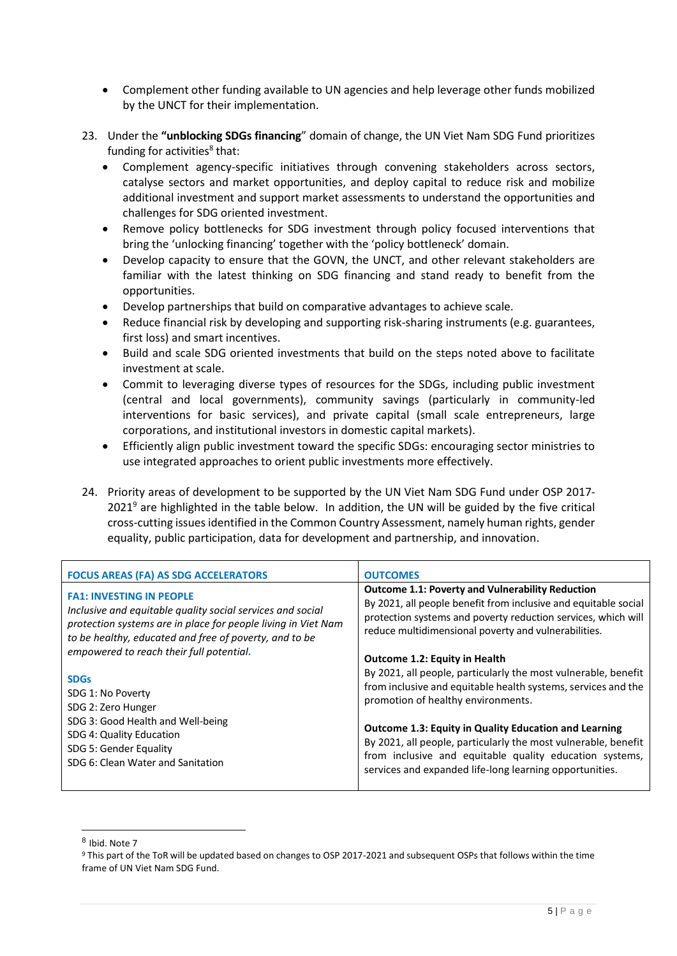- Complement other funding available to UN agencies and help leverage other funds mobilized by the UNCT for their implementation.
- 23. Under the **"unblocking SDGs financing**" domain of change, the UN Viet Nam SDG Fund prioritizes funding for activities<sup>8</sup> that:
	- Complement agency-specific initiatives through convening stakeholders across sectors, catalyse sectors and market opportunities, and deploy capital to reduce risk and mobilize additional investment and support market assessments to understand the opportunities and challenges for SDG oriented investment.
	- Remove policy bottlenecks for SDG investment through policy focused interventions that bring the 'unlocking financing' together with the 'policy bottleneck' domain.
	- Develop capacity to ensure that the GOVN, the UNCT, and other relevant stakeholders are familiar with the latest thinking on SDG financing and stand ready to benefit from the opportunities.
	- Develop partnerships that build on comparative advantages to achieve scale.
	- Reduce financial risk by developing and supporting risk-sharing instruments (e.g. guarantees, first loss) and smart incentives.
	- Build and scale SDG oriented investments that build on the steps noted above to facilitate investment at scale.
	- Commit to leveraging diverse types of resources for the SDGs, including public investment (central and local governments), community savings (particularly in community-led interventions for basic services), and private capital (small scale entrepreneurs, large corporations, and institutional investors in domestic capital markets).
	- Efficiently align public investment toward the specific SDGs: encouraging sector ministries to use integrated approaches to orient public investments more effectively.
- 24. Priority areas of development to be supported by the UN Viet Nam SDG Fund under OSP 2017-  $2021<sup>9</sup>$  are highlighted in the table below. In addition, the UN will be guided by the five critical cross-cutting issuesidentified in the Common Country Assessment, namely human rights, gender equality, public participation, data for development and partnership, and innovation.

| <b>FOCUS AREAS (FA) AS SDG ACCELERATORS</b>                   | <b>OUTCOMES</b>                                                 |
|---------------------------------------------------------------|-----------------------------------------------------------------|
| <b>FA1: INVESTING IN PEOPLE</b>                               | <b>Outcome 1.1: Poverty and Vulnerability Reduction</b>         |
| Inclusive and equitable quality social services and social    | By 2021, all people benefit from inclusive and equitable social |
| protection systems are in place for people living in Viet Nam | protection systems and poverty reduction services, which will   |
| to be healthy, educated and free of poverty, and to be        | reduce multidimensional poverty and vulnerabilities.            |
| empowered to reach their full potential.                      | Outcome 1.2: Equity in Health                                   |
| <b>SDGs</b>                                                   | By 2021, all people, particularly the most vulnerable, benefit  |
| SDG 1: No Poverty                                             | from inclusive and equitable health systems, services and the   |
| SDG 2: Zero Hunger                                            | promotion of healthy environments.                              |
| SDG 3: Good Health and Well-being                             | <b>Outcome 1.3: Equity in Quality Education and Learning</b>    |
| SDG 4: Quality Education                                      | By 2021, all people, particularly the most vulnerable, benefit  |
| SDG 5: Gender Equality                                        | from inclusive and equitable quality education systems,         |
| SDG 6: Clean Water and Sanitation                             | services and expanded life-long learning opportunities.         |

<sup>8</sup> Ibid. Note 7

<sup>9</sup> This part of the ToR will be updated based on changes to OSP 2017-2021 and subsequent OSPs that follows within the time frame of UN Viet Nam SDG Fund.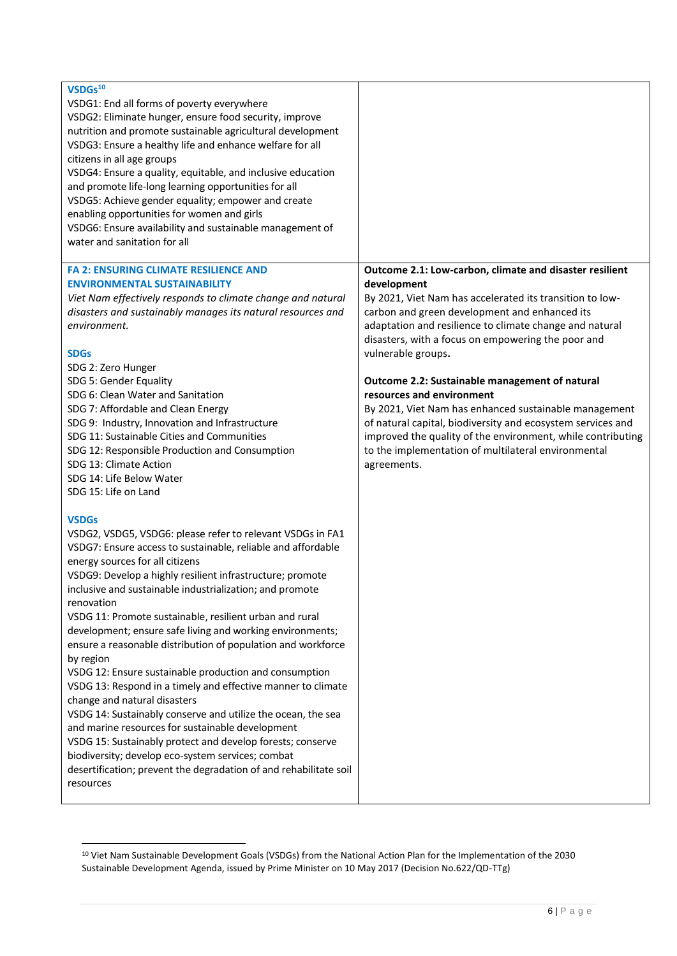| VSDGs <sup>10</sup><br>VSDG1: End all forms of poverty everywhere<br>VSDG2: Eliminate hunger, ensure food security, improve<br>nutrition and promote sustainable agricultural development<br>VSDG3: Ensure a healthy life and enhance welfare for all<br>citizens in all age groups<br>VSDG4: Ensure a quality, equitable, and inclusive education<br>and promote life-long learning opportunities for all<br>VSDG5: Achieve gender equality; empower and create<br>enabling opportunities for women and girls<br>VSDG6: Ensure availability and sustainable management of<br>water and sanitation for all                                                                                                                                                                                                                                                                                                                                                                                                                                                                                                                                                                                                                                                                                                                                                                                                                                                                                                                                                                                                                  |                                                                                                                                                                                                                                                                                                                                                                                                                                                                                                                                                                                                                                                                        |
|-----------------------------------------------------------------------------------------------------------------------------------------------------------------------------------------------------------------------------------------------------------------------------------------------------------------------------------------------------------------------------------------------------------------------------------------------------------------------------------------------------------------------------------------------------------------------------------------------------------------------------------------------------------------------------------------------------------------------------------------------------------------------------------------------------------------------------------------------------------------------------------------------------------------------------------------------------------------------------------------------------------------------------------------------------------------------------------------------------------------------------------------------------------------------------------------------------------------------------------------------------------------------------------------------------------------------------------------------------------------------------------------------------------------------------------------------------------------------------------------------------------------------------------------------------------------------------------------------------------------------------|------------------------------------------------------------------------------------------------------------------------------------------------------------------------------------------------------------------------------------------------------------------------------------------------------------------------------------------------------------------------------------------------------------------------------------------------------------------------------------------------------------------------------------------------------------------------------------------------------------------------------------------------------------------------|
| <b>FA 2: ENSURING CLIMATE RESILIENCE AND</b><br><b>ENVIRONMENTAL SUSTAINABILITY</b><br>Viet Nam effectively responds to climate change and natural<br>disasters and sustainably manages its natural resources and<br>environment.<br><b>SDGs</b><br>SDG 2: Zero Hunger<br>SDG 5: Gender Equality<br>SDG 6: Clean Water and Sanitation<br>SDG 7: Affordable and Clean Energy<br>SDG 9: Industry, Innovation and Infrastructure<br>SDG 11: Sustainable Cities and Communities<br>SDG 12: Responsible Production and Consumption<br>SDG 13: Climate Action<br>SDG 14: Life Below Water<br>SDG 15: Life on Land<br><b>VSDGs</b><br>VSDG2, VSDG5, VSDG6: please refer to relevant VSDGs in FA1<br>VSDG7: Ensure access to sustainable, reliable and affordable<br>energy sources for all citizens<br>VSDG9: Develop a highly resilient infrastructure; promote<br>inclusive and sustainable industrialization; and promote<br>renovation<br>VSDG 11: Promote sustainable, resilient urban and rural<br>development; ensure safe living and working environments;<br>ensure a reasonable distribution of population and workforce<br>by region<br>VSDG 12: Ensure sustainable production and consumption<br>VSDG 13: Respond in a timely and effective manner to climate<br>change and natural disasters<br>VSDG 14: Sustainably conserve and utilize the ocean, the sea<br>and marine resources for sustainable development<br>VSDG 15: Sustainably protect and develop forests; conserve<br>biodiversity; develop eco-system services; combat<br>desertification; prevent the degradation of and rehabilitate soil<br>resources | Outcome 2.1: Low-carbon, climate and disaster resilient<br>development<br>By 2021, Viet Nam has accelerated its transition to low-<br>carbon and green development and enhanced its<br>adaptation and resilience to climate change and natural<br>disasters, with a focus on empowering the poor and<br>vulnerable groups.<br>Outcome 2.2: Sustainable management of natural<br>resources and environment<br>By 2021, Viet Nam has enhanced sustainable management<br>of natural capital, biodiversity and ecosystem services and<br>improved the quality of the environment, while contributing<br>to the implementation of multilateral environmental<br>agreements. |

<sup>10</sup> Viet Nam Sustainable Development Goals (VSDGs) from the National Action Plan for the Implementation of the 2030 Sustainable Development Agenda, issued by Prime Minister on 10 May 2017 (Decision No.622/QD-TTg)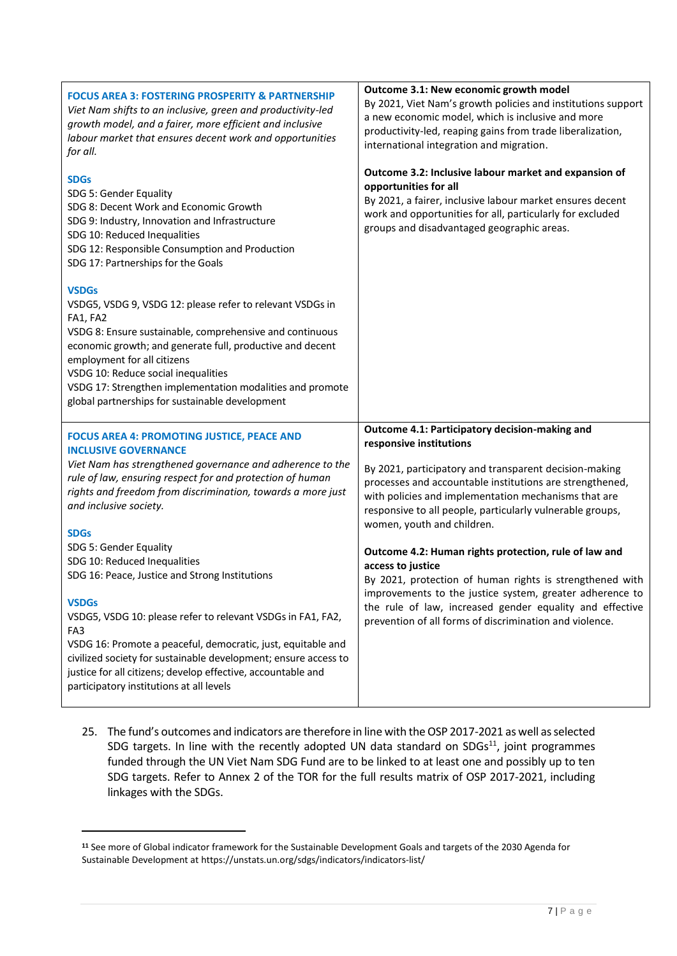| <b>FOCUS AREA 3: FOSTERING PROSPERITY &amp; PARTNERSHIP</b><br>Viet Nam shifts to an inclusive, green and productivity-led<br>growth model, and a fairer, more efficient and inclusive<br>labour market that ensures decent work and opportunities<br>for all.                                                                                                                                                                                                                                                                                                                                                                                                                                                                                                                  | Outcome 3.1: New economic growth model<br>By 2021, Viet Nam's growth policies and institutions support<br>a new economic model, which is inclusive and more<br>productivity-led, reaping gains from trade liberalization,<br>international integration and migration.                                                                                                                                                                                                                                                                                                                                                                                                           |
|---------------------------------------------------------------------------------------------------------------------------------------------------------------------------------------------------------------------------------------------------------------------------------------------------------------------------------------------------------------------------------------------------------------------------------------------------------------------------------------------------------------------------------------------------------------------------------------------------------------------------------------------------------------------------------------------------------------------------------------------------------------------------------|---------------------------------------------------------------------------------------------------------------------------------------------------------------------------------------------------------------------------------------------------------------------------------------------------------------------------------------------------------------------------------------------------------------------------------------------------------------------------------------------------------------------------------------------------------------------------------------------------------------------------------------------------------------------------------|
| <b>SDGs</b><br>SDG 5: Gender Equality<br>SDG 8: Decent Work and Economic Growth<br>SDG 9: Industry, Innovation and Infrastructure<br>SDG 10: Reduced Inequalities<br>SDG 12: Responsible Consumption and Production<br>SDG 17: Partnerships for the Goals                                                                                                                                                                                                                                                                                                                                                                                                                                                                                                                       | Outcome 3.2: Inclusive labour market and expansion of<br>opportunities for all<br>By 2021, a fairer, inclusive labour market ensures decent<br>work and opportunities for all, particularly for excluded<br>groups and disadvantaged geographic areas.                                                                                                                                                                                                                                                                                                                                                                                                                          |
| <b>VSDGs</b><br>VSDG5, VSDG 9, VSDG 12: please refer to relevant VSDGs in<br>FA1, FA2<br>VSDG 8: Ensure sustainable, comprehensive and continuous<br>economic growth; and generate full, productive and decent<br>employment for all citizens<br>VSDG 10: Reduce social inequalities<br>VSDG 17: Strengthen implementation modalities and promote<br>global partnerships for sustainable development                                                                                                                                                                                                                                                                                                                                                                            |                                                                                                                                                                                                                                                                                                                                                                                                                                                                                                                                                                                                                                                                                 |
| <b>FOCUS AREA 4: PROMOTING JUSTICE, PEACE AND</b><br><b>INCLUSIVE GOVERNANCE</b><br>Viet Nam has strengthened governance and adherence to the<br>rule of law, ensuring respect for and protection of human<br>rights and freedom from discrimination, towards a more just<br>and inclusive society.<br><b>SDGs</b><br>SDG 5: Gender Equality<br>SDG 10: Reduced Inequalities<br>SDG 16: Peace, Justice and Strong Institutions<br><b>VSDGs</b><br>VSDG5, VSDG 10: please refer to relevant VSDGs in FA1, FA2,<br>FA <sub>3</sub><br>VSDG 16: Promote a peaceful, democratic, just, equitable and<br>civilized society for sustainable development; ensure access to<br>justice for all citizens; develop effective, accountable and<br>participatory institutions at all levels | Outcome 4.1: Participatory decision-making and<br>responsive institutions<br>By 2021, participatory and transparent decision-making<br>processes and accountable institutions are strengthened,<br>with policies and implementation mechanisms that are<br>responsive to all people, particularly vulnerable groups,<br>women, youth and children.<br>Outcome 4.2: Human rights protection, rule of law and<br>access to justice<br>By 2021, protection of human rights is strengthened with<br>improvements to the justice system, greater adherence to<br>the rule of law, increased gender equality and effective<br>prevention of all forms of discrimination and violence. |

25. The fund's outcomes and indicators are therefore in line with the OSP 2017-2021 as well as selected SDG targets. In line with the recently adopted UN data standard on  $SDS<sup>11</sup>$ , joint programmes funded through the UN Viet Nam SDG Fund are to be linked to at least one and possibly up to ten SDG targets. Refer to Annex 2 of the TOR for the full results matrix of OSP 2017-2021, including linkages with the SDGs.

**<sup>11</sup>** See more of Global indicator framework for the Sustainable Development Goals and targets of the 2030 Agenda for Sustainable Development at<https://unstats.un.org/sdgs/indicators/indicators-list/>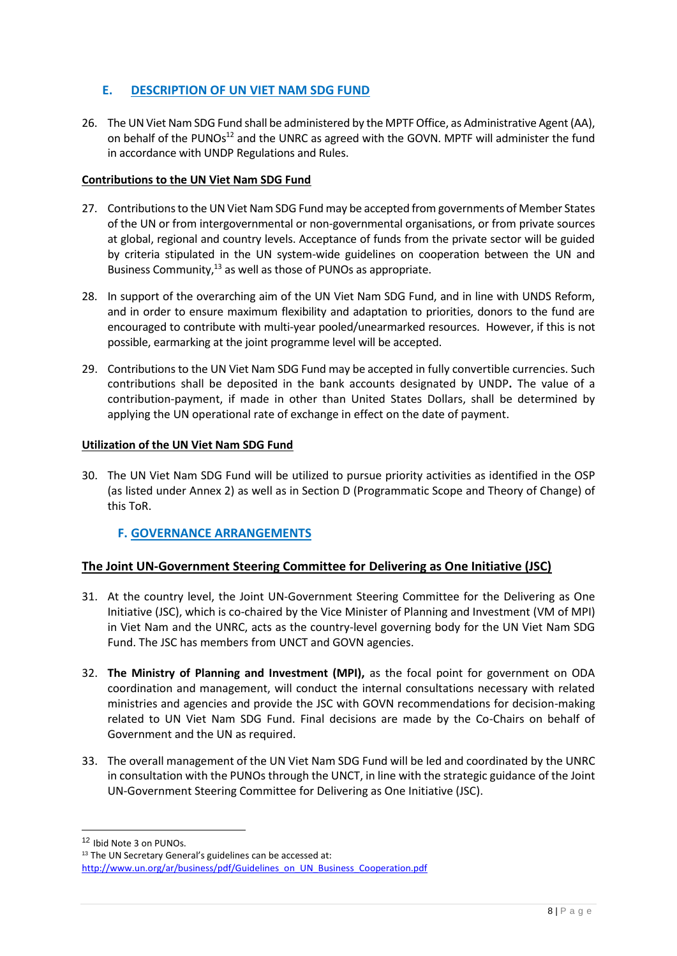# **E. DESCRIPTION OF UN VIET NAM SDG FUND**

26. The UN Viet Nam SDG Fund shall be administered by the MPTF Office, as Administrative Agent (AA), on behalf of the PUNOs<sup>12</sup> and the UNRC as agreed with the GOVN. MPTF will administer the fund in accordance with UNDP Regulations and Rules.

## **Contributions to the UN Viet Nam SDG Fund**

- 27. Contributions to the UN Viet Nam SDG Fund may be accepted from governments of Member States of the UN or from intergovernmental or non-governmental organisations, or from private sources at global, regional and country levels. Acceptance of funds from the private sector will be guided by criteria stipulated in the UN system-wide guidelines on cooperation between the UN and Business Community,<sup>13</sup> as well as those of PUNOs as appropriate.
- 28. In support of the overarching aim of the UN Viet Nam SDG Fund, and in line with UNDS Reform, and in order to ensure maximum flexibility and adaptation to priorities, donors to the fund are encouraged to contribute with multi-year pooled/unearmarked resources. However, if this is not possible, earmarking at the joint programme level will be accepted.
- 29. Contributions to the UN Viet Nam SDG Fund may be accepted in fully convertible currencies. Such contributions shall be deposited in the bank accounts designated by UNDP**.** The value of a contribution-payment, if made in other than United States Dollars, shall be determined by applying the UN operational rate of exchange in effect on the date of payment.

## **Utilization of the UN Viet Nam SDG Fund**

30. The UN Viet Nam SDG Fund will be utilized to pursue priority activities as identified in the OSP (as listed under Annex 2) as well as in Section D (Programmatic Scope and Theory of Change) of this ToR.

# **F. GOVERNANCE ARRANGEMENTS**

# **The Joint UN-Government Steering Committee for Delivering as One Initiative (JSC)**

- 31. At the country level, the Joint UN-Government Steering Committee for the Delivering as One Initiative (JSC), which is co-chaired by the Vice Minister of Planning and Investment (VM of MPI) in Viet Nam and the UNRC, acts as the country-level governing body for the UN Viet Nam SDG Fund. The JSC has members from UNCT and GOVN agencies.
- 32. **The Ministry of Planning and Investment (MPI),** as the focal point for government on ODA coordination and management, will conduct the internal consultations necessary with related ministries and agencies and provide the JSC with GOVN recommendations for decision-making related to UN Viet Nam SDG Fund. Final decisions are made by the Co-Chairs on behalf of Government and the UN as required.
- 33. The overall management of the UN Viet Nam SDG Fund will be led and coordinated by the UNRC in consultation with the PUNOs through the UNCT, in line with the strategic guidance of the Joint UN-Government Steering Committee for Delivering as One Initiative (JSC).

<sup>12</sup> Ibid Note 3 on PUNOs.

<sup>&</sup>lt;sup>13</sup> The UN Secretary General's guidelines can be accessed at: [http://www.un.org/ar/business/pdf/Guidelines\\_on\\_UN\\_Business\\_Cooperation.pdf](http://www.un.org/ar/business/pdf/Guidelines_on_UN_Business_Cooperation.pdf)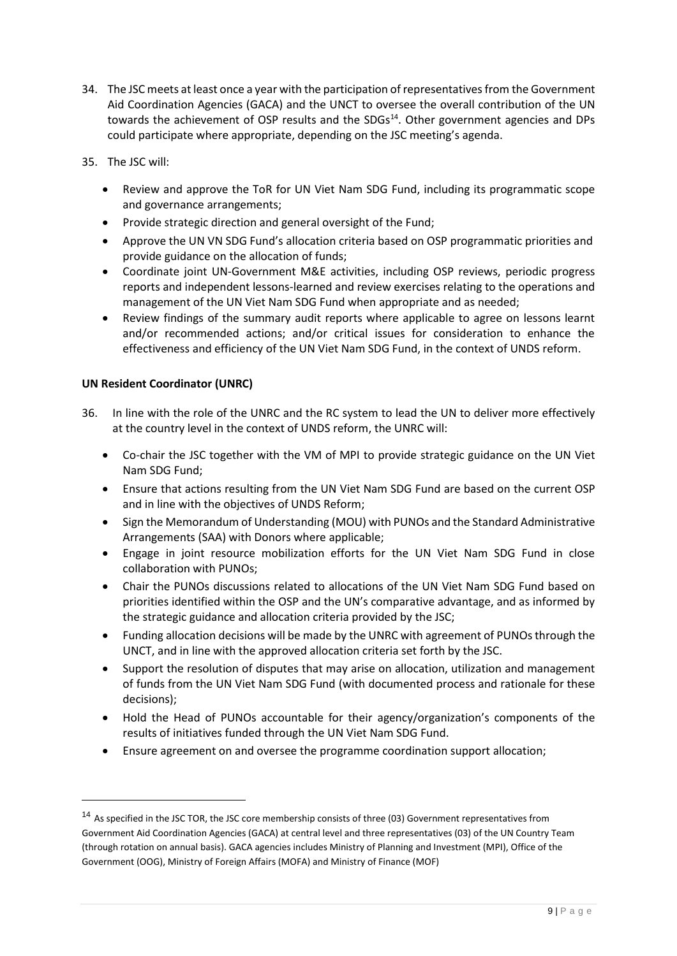- 34. The JSC meets at least once a year with the participation of representatives from the Government Aid Coordination Agencies (GACA) and the UNCT to oversee the overall contribution of the UN towards the achievement of OSP results and the SDGs<sup>14</sup>. Other government agencies and DPs could participate where appropriate, depending on the JSC meeting's agenda.
- 35. The JSC will:
	- Review and approve the ToR for UN Viet Nam SDG Fund, including its programmatic scope and governance arrangements;
	- Provide strategic direction and general oversight of the Fund;
	- Approve the UN VN SDG Fund's allocation criteria based on OSP programmatic priorities and provide guidance on the allocation of funds;
	- Coordinate joint UN-Government M&E activities, including OSP reviews, periodic progress reports and independent lessons-learned and review exercises relating to the operations and management of the UN Viet Nam SDG Fund when appropriate and as needed;
	- Review findings of the summary audit reports where applicable to agree on lessons learnt and/or recommended actions; and/or critical issues for consideration to enhance the effectiveness and efficiency of the UN Viet Nam SDG Fund, in the context of UNDS reform.

#### **UN Resident Coordinator (UNRC)**

- 36. In line with the role of the UNRC and the RC system to lead the UN to deliver more effectively at the country level in the context of UNDS reform, the UNRC will:
	- Co-chair the JSC together with the VM of MPI to provide strategic guidance on the UN Viet Nam SDG Fund;
	- Ensure that actions resulting from the UN Viet Nam SDG Fund are based on the current OSP and in line with the objectives of UNDS Reform;
	- Sign the Memorandum of Understanding (MOU) with PUNOs and the Standard Administrative Arrangements (SAA) with Donors where applicable;
	- Engage in joint resource mobilization efforts for the UN Viet Nam SDG Fund in close collaboration with PUNOs;
	- Chair the PUNOs discussions related to allocations of the UN Viet Nam SDG Fund based on priorities identified within the OSP and the UN's comparative advantage, and as informed by the strategic guidance and allocation criteria provided by the JSC;
	- Funding allocation decisions will be made by the UNRC with agreement of PUNOs through the UNCT, and in line with the approved allocation criteria set forth by the JSC.
	- Support the resolution of disputes that may arise on allocation, utilization and management of funds from the UN Viet Nam SDG Fund (with documented process and rationale for these decisions);
	- Hold the Head of PUNOs accountable for their agency/organization's components of the results of initiatives funded through the UN Viet Nam SDG Fund.
	- Ensure agreement on and oversee the programme coordination support allocation;

<sup>&</sup>lt;sup>14</sup> As specified in the JSC TOR, the JSC core membership consists of three (03) Government representatives from Government Aid Coordination Agencies (GACA) at central level and three representatives (03) of the UN Country Team (through rotation on annual basis). GACA agencies includes Ministry of Planning and Investment (MPI), Office of the Government (OOG), Ministry of Foreign Affairs (MOFA) and Ministry of Finance (MOF)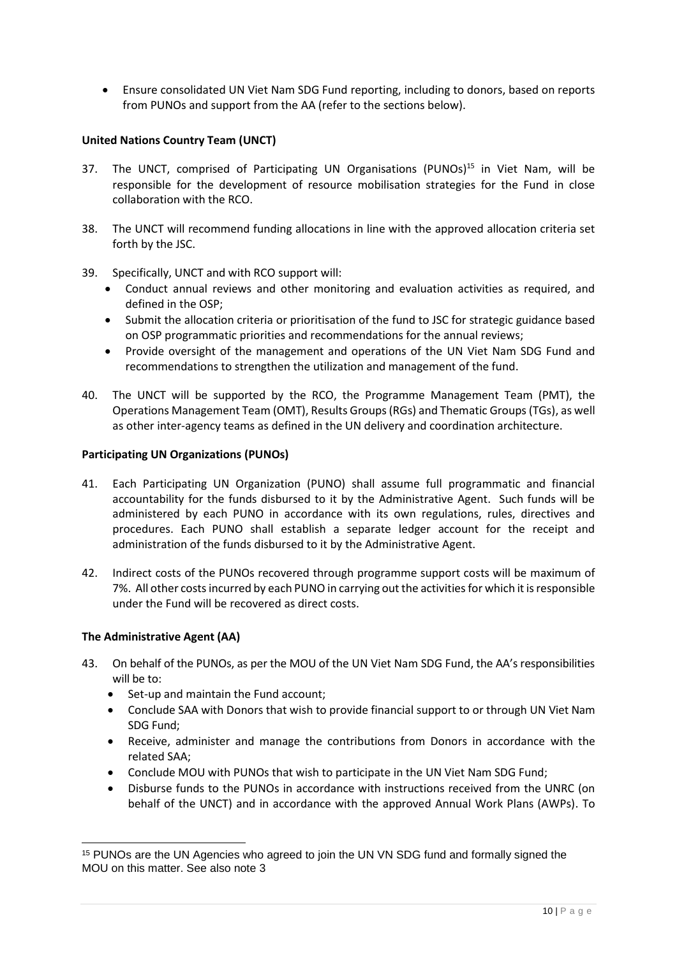• Ensure consolidated UN Viet Nam SDG Fund reporting, including to donors, based on reports from PUNOs and support from the AA (refer to the sections below).

#### **United Nations Country Team (UNCT)**

- 37. The UNCT, comprised of Participating UN Organisations (PUNOs)<sup>15</sup> in Viet Nam, will be responsible for the development of resource mobilisation strategies for the Fund in close collaboration with the RCO.
- 38. The UNCT will recommend funding allocations in line with the approved allocation criteria set forth by the JSC.
- 39. Specifically, UNCT and with RCO support will:
	- Conduct annual reviews and other monitoring and evaluation activities as required, and defined in the OSP;
	- Submit the allocation criteria or prioritisation of the fund to JSC for strategic guidance based on OSP programmatic priorities and recommendations for the annual reviews;
	- Provide oversight of the management and operations of the UN Viet Nam SDG Fund and recommendations to strengthen the utilization and management of the fund.
- 40. The UNCT will be supported by the RCO, the Programme Management Team (PMT), the Operations Management Team (OMT), Results Groups (RGs) and Thematic Groups (TGs), as well as other inter-agency teams as defined in the UN delivery and coordination architecture.

#### **Participating UN Organizations (PUNOs)**

- 41. Each Participating UN Organization (PUNO) shall assume full programmatic and financial accountability for the funds disbursed to it by the Administrative Agent. Such funds will be administered by each PUNO in accordance with its own regulations, rules, directives and procedures. Each PUNO shall establish a separate ledger account for the receipt and administration of the funds disbursed to it by the Administrative Agent.
- 42. Indirect costs of the PUNOs recovered through programme support costs will be maximum of 7%. All other costs incurred by each PUNO in carrying out the activities for which it is responsible under the Fund will be recovered as direct costs.

#### **The Administrative Agent (AA)**

- 43. On behalf of the PUNOs, as per the MOU of the UN Viet Nam SDG Fund, the AA's responsibilities will be to:
	- Set-up and maintain the Fund account;
	- Conclude SAA with Donors that wish to provide financial support to or through UN Viet Nam SDG Fund;
	- Receive, administer and manage the contributions from Donors in accordance with the related SAA;
	- Conclude MOU with PUNOs that wish to participate in the UN Viet Nam SDG Fund;
	- Disburse funds to the PUNOs in accordance with instructions received from the UNRC (on behalf of the UNCT) and in accordance with the approved Annual Work Plans (AWPs). To

<sup>&</sup>lt;sup>15</sup> PUNOs are the UN Agencies who agreed to join the UN VN SDG fund and formally signed the MOU on this matter. See also note 3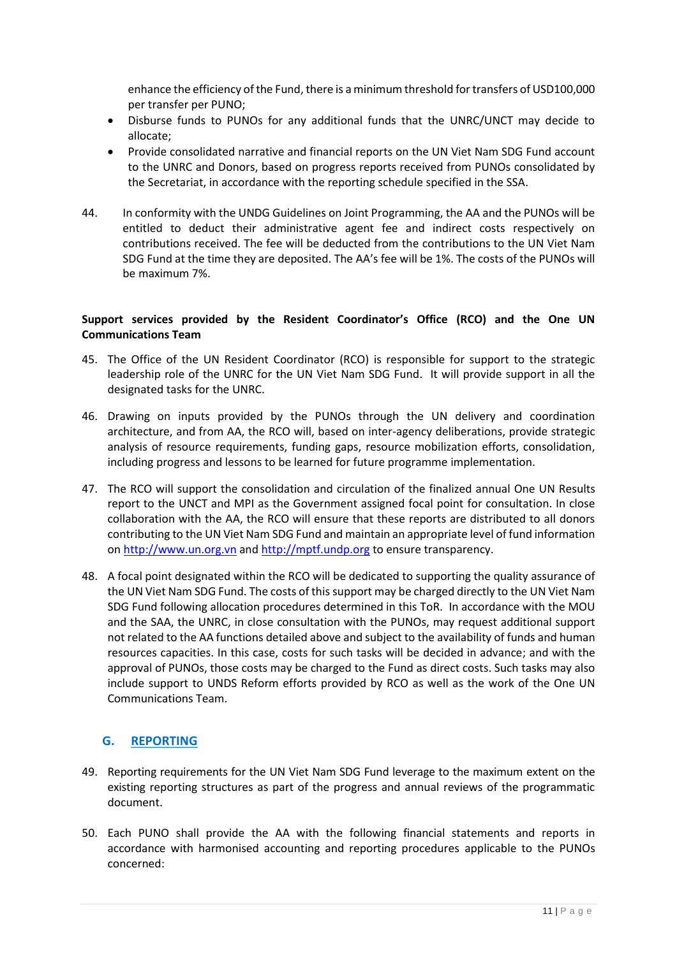enhance the efficiency of the Fund, there is a minimum threshold for transfers of USD100,000 per transfer per PUNO;

- Disburse funds to PUNOs for any additional funds that the UNRC/UNCT may decide to allocate;
- Provide consolidated narrative and financial reports on the UN Viet Nam SDG Fund account to the UNRC and Donors, based on progress reports received from PUNOs consolidated by the Secretariat, in accordance with the reporting schedule specified in the SSA.
- 44. In conformity with the UNDG Guidelines on Joint Programming, the AA and the PUNOs will be entitled to deduct their administrative agent fee and indirect costs respectively on contributions received. The fee will be deducted from the contributions to the UN Viet Nam SDG Fund at the time they are deposited. The AA's fee will be 1%. The costs of the PUNOs will be maximum 7%.

#### **Support services provided by the Resident Coordinator's Office (RCO) and the One UN Communications Team**

- 45. The Office of the UN Resident Coordinator (RCO) is responsible for support to the strategic leadership role of the UNRC for the UN Viet Nam SDG Fund. It will provide support in all the designated tasks for the UNRC.
- 46. Drawing on inputs provided by the PUNOs through the UN delivery and coordination architecture, and from AA, the RCO will, based on inter-agency deliberations, provide strategic analysis of resource requirements, funding gaps, resource mobilization efforts, consolidation, including progress and lessons to be learned for future programme implementation.
- 47. The RCO will support the consolidation and circulation of the finalized annual One UN Results report to the UNCT and MPI as the Government assigned focal point for consultation. In close collaboration with the AA, the RCO will ensure that these reports are distributed to all donors contributing to the UN Viet Nam SDG Fund and maintain an appropriate level of fund information o[n http://www.un.org.vn](http://www.un.org.vn/) and [http://mptf.undp.org](http://mptf.undp.org/) to ensure transparency.
- 48. A focal point designated within the RCO will be dedicated to supporting the quality assurance of the UN Viet Nam SDG Fund. The costs of this support may be charged directly to the UN Viet Nam SDG Fund following allocation procedures determined in this ToR. In accordance with the MOU and the SAA, the UNRC, in close consultation with the PUNOs, may request additional support not related to the AA functions detailed above and subject to the availability of funds and human resources capacities. In this case, costs for such tasks will be decided in advance; and with the approval of PUNOs, those costs may be charged to the Fund as direct costs. Such tasks may also include support to UNDS Reform efforts provided by RCO as well as the work of the One UN Communications Team.

# **G. REPORTING**

- 49. Reporting requirements for the UN Viet Nam SDG Fund leverage to the maximum extent on the existing reporting structures as part of the progress and annual reviews of the programmatic document.
- 50. Each PUNO shall provide the AA with the following financial statements and reports in accordance with harmonised accounting and reporting procedures applicable to the PUNOs concerned: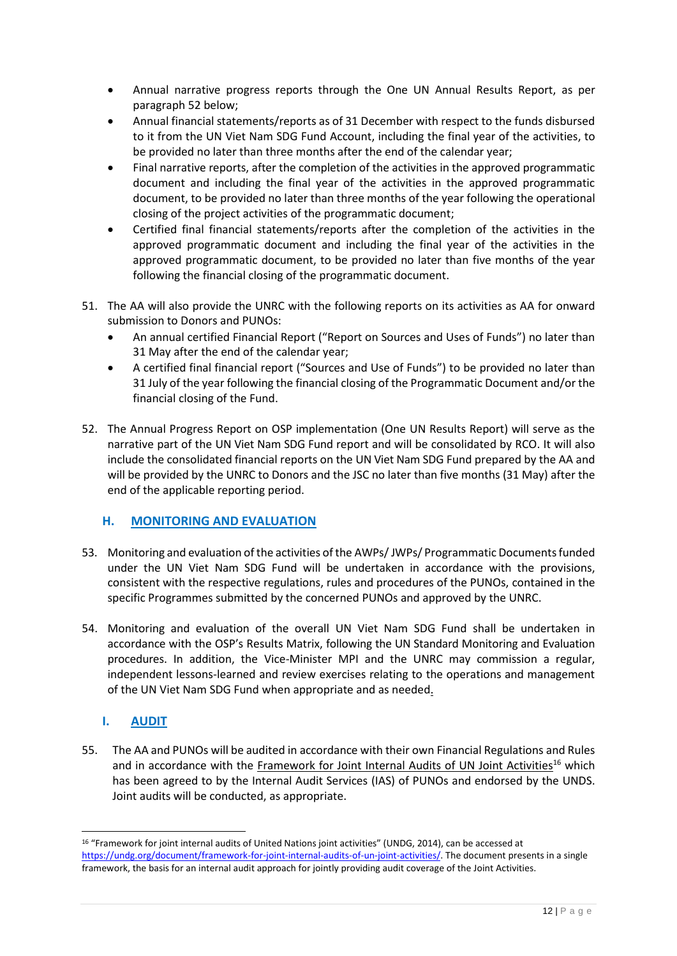- Annual narrative progress reports through the One UN Annual Results Report, as per paragraph 52 below;
- Annual financial statements/reports as of 31 December with respect to the funds disbursed to it from the UN Viet Nam SDG Fund Account, including the final year of the activities, to be provided no later than three months after the end of the calendar year;
- Final narrative reports, after the completion of the activities in the approved programmatic document and including the final year of the activities in the approved programmatic document, to be provided no later than three months of the year following the operational closing of the project activities of the programmatic document;
- Certified final financial statements/reports after the completion of the activities in the approved programmatic document and including the final year of the activities in the approved programmatic document, to be provided no later than five months of the year following the financial closing of the programmatic document.
- 51. The AA will also provide the UNRC with the following reports on its activities as AA for onward submission to Donors and PUNOs:
	- An annual certified Financial Report ("Report on Sources and Uses of Funds") no later than 31 May after the end of the calendar year;
	- A certified final financial report ("Sources and Use of Funds") to be provided no later than 31 July of the year following the financial closing of the Programmatic Document and/or the financial closing of the Fund.
- 52. The Annual Progress Report on OSP implementation (One UN Results Report) will serve as the narrative part of the UN Viet Nam SDG Fund report and will be consolidated by RCO. It will also include the consolidated financial reports on the UN Viet Nam SDG Fund prepared by the AA and will be provided by the UNRC to Donors and the JSC no later than five months (31 May) after the end of the applicable reporting period.

# **H. MONITORING AND EVALUATION**

- 53. Monitoring and evaluation of the activities of the AWPs/ JWPs/ Programmatic Documents funded under the UN Viet Nam SDG Fund will be undertaken in accordance with the provisions, consistent with the respective regulations, rules and procedures of the PUNOs, contained in the specific Programmes submitted by the concerned PUNOs and approved by the UNRC.
- 54. Monitoring and evaluation of the overall UN Viet Nam SDG Fund shall be undertaken in accordance with the OSP's Results Matrix, following the UN Standard Monitoring and Evaluation procedures. In addition, the Vice-Minister MPI and the UNRC may commission a regular, independent lessons-learned and review exercises relating to the operations and management of the UN Viet Nam SDG Fund when appropriate and as needed.

# **I. AUDIT**

-

55. The AA and PUNOs will be audited in accordance with their own Financial Regulations and Rules and in accordance with the [Framework for Joint Internal Audits of UN Joint Activities](https://undg.org/document/framework-for-joint-internal-audits-of-un-joint-activities/)<sup>16</sup> which has been agreed to by the Internal Audit Services (IAS) of PUNOs and endorsed by the UNDS. Joint audits will be conducted, as appropriate.

<sup>16</sup> "Framework for joint internal audits of United Nations joint activities" (UNDG, 2014), can be accessed at [https://undg.org/document/framework-for-joint-internal-audits-of-un-joint-activities/.](https://undg.org/document/framework-for-joint-internal-audits-of-un-joint-activities/) The document presents in a single framework, the basis for an internal audit approach for jointly providing audit coverage of the Joint Activities.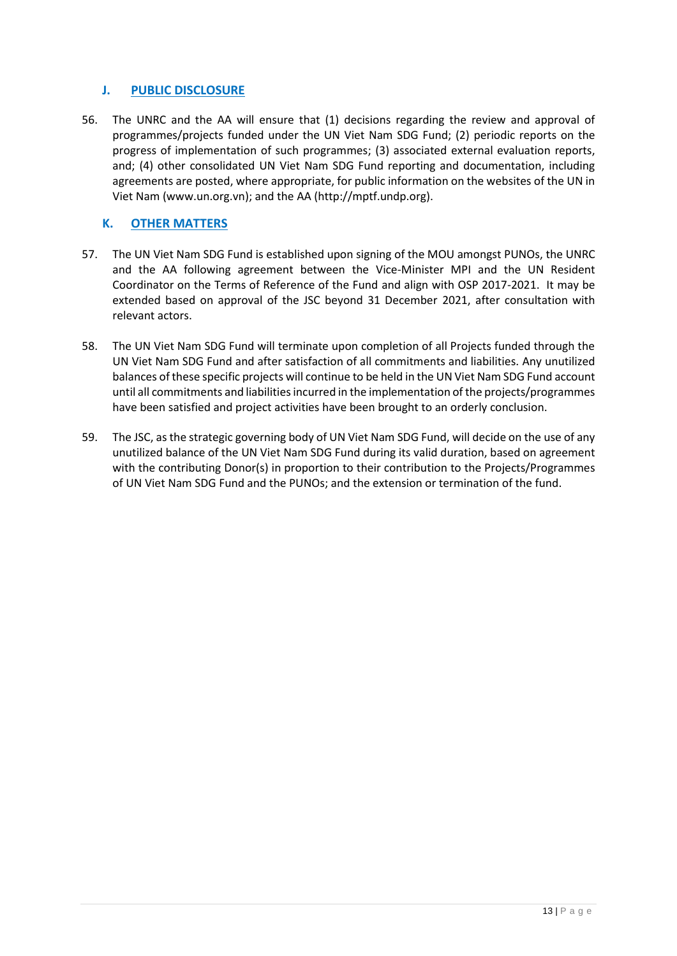## **J. PUBLIC DISCLOSURE**

56. The UNRC and the AA will ensure that (1) decisions regarding the review and approval of programmes/projects funded under the UN Viet Nam SDG Fund; (2) periodic reports on the progress of implementation of such programmes; (3) associated external evaluation reports, and; (4) other consolidated UN Viet Nam SDG Fund reporting and documentation, including agreements are posted, where appropriate, for public information on the websites of the UN in Viet Nam [\(www.un.org.vn\)](http://www.un.org.vn/); and the AA [\(http://mptf.undp.org\)](http://mptf.undp.org/).

## **K. OTHER MATTERS**

- 57. The UN Viet Nam SDG Fund is established upon signing of the MOU amongst PUNOs, the UNRC and the AA following agreement between the Vice-Minister MPI and the UN Resident Coordinator on the Terms of Reference of the Fund and align with OSP 2017-2021. It may be extended based on approval of the JSC beyond 31 December 2021, after consultation with relevant actors.
- 58. The UN Viet Nam SDG Fund will terminate upon completion of all Projects funded through the UN Viet Nam SDG Fund and after satisfaction of all commitments and liabilities. Any unutilized balances of these specific projects will continue to be held in the UN Viet Nam SDG Fund account until all commitments and liabilities incurred in the implementation of the projects/programmes have been satisfied and project activities have been brought to an orderly conclusion.
- 59. The JSC, as the strategic governing body of UN Viet Nam SDG Fund, will decide on the use of any unutilized balance of the UN Viet Nam SDG Fund during its valid duration, based on agreement with the contributing Donor(s) in proportion to their contribution to the Projects/Programmes of UN Viet Nam SDG Fund and the PUNOs; and the extension or termination of the fund.